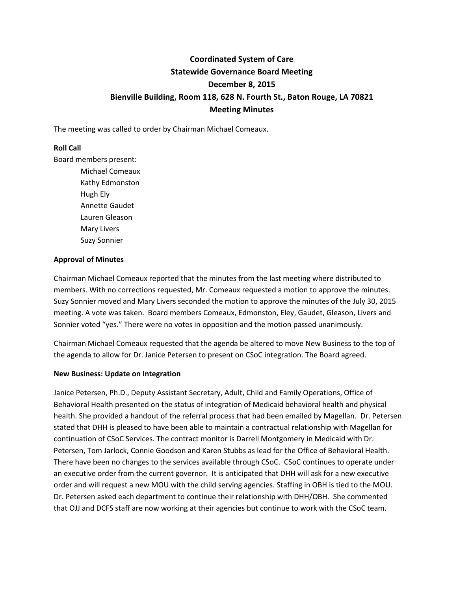# **Coordinated System of Care Statewide Governance Board Meeting December 8, 2015 Bienville Building, Room 118, 628 N. Fourth St., Baton Rouge, LA 70821 Meeting Minutes**

The meeting was called to order by Chairman Michael Comeaux.

#### **Roll Call**

Board members present:

Michael Comeaux Kathy Edmonston Hugh Ely Annette Gaudet Lauren Gleason Mary Livers Suzy Sonnier

#### **Approval of Minutes**

Chairman Michael Comeaux reported that the minutes from the last meeting where distributed to members. With no corrections requested, Mr. Comeaux requested a motion to approve the minutes. Suzy Sonnier moved and Mary Livers seconded the motion to approve the minutes of the July 30, 2015 meeting. A vote was taken. Board members Comeaux, Edmonston, Eley, Gaudet, Gleason, Livers and Sonnier voted "yes." There were no votes in opposition and the motion passed unanimously.

Chairman Michael Comeaux requested that the agenda be altered to move New Business to the top of the agenda to allow for Dr. Janice Petersen to present on CSoC integration. The Board agreed.

#### **New Business: Update on Integration**

Janice Petersen, Ph.D., Deputy Assistant Secretary, Adult, Child and Family Operations, Office of Behavioral Health presented on the status of integration of Medicaid behavioral health and physical health. She provided a handout of the referral process that had been emailed by Magellan. Dr. Petersen stated that DHH is pleased to have been able to maintain a contractual relationship with Magellan for continuation of CSoC Services. The contract monitor is Darrell Montgomery in Medicaid with Dr. Petersen, Tom Jarlock, Connie Goodson and Karen Stubbs as lead for the Office of Behavioral Health. There have been no changes to the services available through CSoC. CSoC continues to operate under an executive order from the current governor. It is anticipated that DHH will ask for a new executive order and will request a new MOU with the child serving agencies. Staffing in OBH is tied to the MOU. Dr. Petersen asked each department to continue their relationship with DHH/OBH. She commented that OJJ and DCFS staff are now working at their agencies but continue to work with the CSoC team.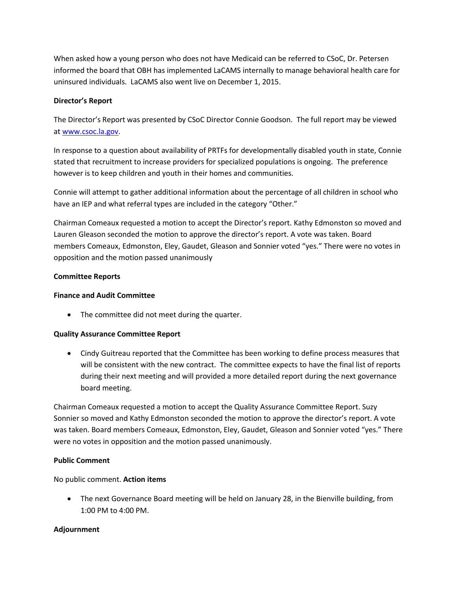When asked how a young person who does not have Medicaid can be referred to CSoC, Dr. Petersen informed the board that OBH has implemented LaCAMS internally to manage behavioral health care for uninsured individuals. LaCAMS also went live on December 1, 2015.

# **Director's Report**

The Director's Report was presented by CSoC Director Connie Goodson. The full report may be viewed a[t www.csoc.la.gov.](http://www.csoc.la.gov/)

In response to a question about availability of PRTFs for developmentally disabled youth in state, Connie stated that recruitment to increase providers for specialized populations is ongoing. The preference however is to keep children and youth in their homes and communities.

Connie will attempt to gather additional information about the percentage of all children in school who have an IEP and what referral types are included in the category "Other."

Chairman Comeaux requested a motion to accept the Director's report. Kathy Edmonston so moved and Lauren Gleason seconded the motion to approve the director's report. A vote was taken. Board members Comeaux, Edmonston, Eley, Gaudet, Gleason and Sonnier voted "yes." There were no votes in opposition and the motion passed unanimously

# **Committee Reports**

### **Finance and Audit Committee**

• The committee did not meet during the quarter.

#### **Quality Assurance Committee Report**

 Cindy Guitreau reported that the Committee has been working to define process measures that will be consistent with the new contract. The committee expects to have the final list of reports during their next meeting and will provided a more detailed report during the next governance board meeting.

Chairman Comeaux requested a motion to accept the Quality Assurance Committee Report. Suzy Sonnier so moved and Kathy Edmonston seconded the motion to approve the director's report. A vote was taken. Board members Comeaux, Edmonston, Eley, Gaudet, Gleason and Sonnier voted "yes." There were no votes in opposition and the motion passed unanimously.

### **Public Comment**

No public comment. **Action items**

 The next Governance Board meeting will be held on January 28, in the Bienville building, from 1:00 PM to 4:00 PM.

# **Adjournment**